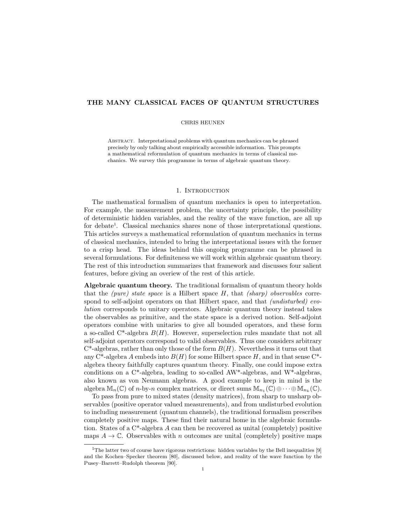## THE MANY CLASSICAL FACES OF QUANTUM STRUCTURES

#### CHRIS HEUNEN

Abstract. Interpretational problems with quantum mechanics can be phrased precisely by only talking about empirically accessible information. This prompts a mathematical reformulation of quantum mechanics in terms of classical mechanics. We survey this programme in terms of algebraic quantum theory.

#### 1. INTRODUCTION

The mathematical formalism of quantum mechanics is open to interpretation. For example, the measurement problem, the uncertainty principle, the possibility of deterministic hidden variables, and the reality of the wave function, are all up for debate<sup>1</sup>. Classical mechanics shares none of those interpretational questions. This articles surveys a mathematical reformulation of quantum mechanics in terms of classical mechanics, intended to bring the interpretational issues with the former to a crisp head. The ideas behind this ongoing programme can be phrased in several formulations. For definiteness we will work within algebraic quantum theory. The rest of this introduction summarizes that framework and discusses four salient features, before giving an overiew of the rest of this article.

Algebraic quantum theory. The traditional formalism of quantum theory holds that the *(pure)* state space is a Hilbert space  $H$ , that *(sharp)* observables correspond to self-adjoint operators on that Hilbert space, and that *(undisturbed) evo*lution corresponds to unitary operators. Algebraic quantum theory instead takes the observables as primitive, and the state space is a derived notion. Self-adjoint operators combine with unitaries to give all bounded operators, and these form a so-called  $C^*$ -algebra  $B(H)$ . However, superselection rules mandate that not all self-adjoint operators correspond to valid observables. Thus one considers arbitrary  $C^*$ -algebras, rather than only those of the form  $B(H)$ . Nevertheless it turns out that any C<sup>\*</sup>-algebra A embeds into  $B(H)$  for some Hilbert space H, and in that sense C<sup>\*</sup>algebra theory faithfully captures quantum theory. Finally, one could impose extra conditions on a  $C^*$ -algebra, leading to so-called AW<sup>\*</sup>-algebras, and W<sup>\*</sup>-algebras, also known as von Neumann algebras. A good example to keep in mind is the algebra  $\mathbb{M}_n(\mathbb{C})$  of *n*-by-*n* complex matrices, or direct sums  $\mathbb{M}_{n_1}(\mathbb{C}) \oplus \cdots \oplus \mathbb{M}_{n_k}(\mathbb{C})$ .

To pass from pure to mixed states (density matrices), from sharp to unsharp observables (positive operator valued measurements), and from undisturbed evolution to including measurement (quantum channels), the traditional formalism prescribes completely positive maps. These find their natural home in the algebraic formulation. States of a  $C^*$ -algebra A can then be recovered as unital (completely) positive maps  $A \to \mathbb{C}$ . Observables with n outcomes are unital (completely) positive maps

<sup>&</sup>lt;sup>1</sup>The latter two of course have rigorous restrictions: hidden variables by the Bell inequalities [9] and the Kochen–Specker theorem [80], discussed below, and reality of the wave function by the Pusey–Barrett–Rudolph theorem [90].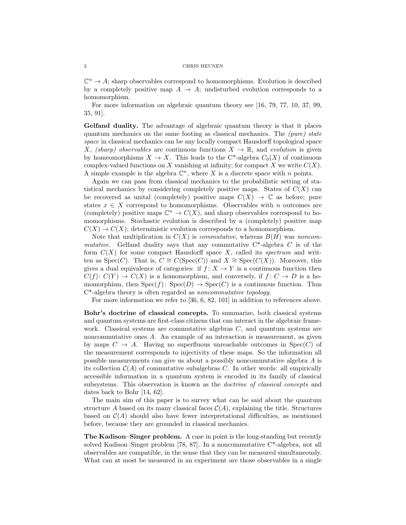$\mathbb{C}^n \to A$ ; sharp observables correspond to homomorphisms. Evolution is described by a completely positive map  $A \to A$ ; undisturbed evolution corresponds to a homomorphism.

For more information on algebraic quantum theory see [16, 79, 77, 10, 37, 99, 35, 91].

Gelfand duality. The advantage of algebraic quantum theory is that it places quantum mechanics on the same footing as classical mechanics. The (pure) state space in classical mechanics can be any locally compact Hausdorff topological space X, (sharp) observables are continuous functions  $X \to \mathbb{R}$ , and evolution is given by homeomorphisms  $X \to X$ . This leads to the C<sup>\*</sup>-algebra  $C_0(X)$  of continuous complex-valued functions on X vanishing at infinity; for compact X we write  $C(X)$ . A simple example is the algebra  $\mathbb{C}^n$ , where X is a discrete space with n points.

Again we can pass from classical mechanics to the probabilistic setting of statistical mechanics by considering completely positive maps. States of  $C(X)$  can be recovered as unital (completely) positive maps  $C(X) \to \mathbb{C}$  as before; pure states  $x \in X$  correspond to homomorphisms. Observables with n outcomes are (completely) positive maps  $\mathbb{C}^n \to C(X)$ , and sharp observables correspond to homomorphisms. Stochastic evolution is described by a (completely) positive map  $C(X) \to C(X)$ ; deterministic evolution corresponds to a homomorphism.

Note that multiplication in  $C(X)$  is *commutative*, whereas  $B(H)$  was *noncom*mutative. Gelfand duality says that any commutative  $C^*$ -algebra C is of the form  $C(X)$  for some compact Hausdorff space X, called its spectrum and written as Spec(C). That is,  $C \cong C(\text{Spec}(C))$  and  $X \cong \text{Spec}(C(X))$ . Moreover, this gives a dual equivalence of categories: if  $f: X \to Y$  is a continuous function then  $C(f): C(Y) \to C(X)$  is a homomorphism, and conversely, if  $f: C \to D$  is a homomorphism, then  $Spec(f)$ :  $Spec(D) \rightarrow Spec(C)$  is a continuous function. Thus C\*-algebra theory is often regarded as noncommutative topology.

For more information we refer to [36, 6, 82, 101] in addition to references above.

Bohr's doctrine of classical concepts. To summarize, both classical systems and quantum systems are first-class citizens that can interact in the algebraic framework. Classical systems are commutative algebras  $C$ , and quantum systems are noncommutative ones A. An example of an interaction is measurement, as given by maps  $C \to A$ . Having no superfluous unreachable outcomes in  $Spec(C)$  of the measurement corresponds to injectivity of these maps. So the information all possible measurements can give us about a possibly noncommutative algebra A is its collection  $C(A)$  of commutative subalgebras C. In other words: all empirically accessible information in a quantum system is encoded in its family of classical subsystems. This observation is known as the doctrine of classical concepts and dates back to Bohr [14, 62].

The main aim of this paper is to survey what can be said about the quantum structure A based on its many classical faces  $\mathcal{C}(A)$ , explaining the title. Structures based on  $\mathcal{C}(A)$  should also have fewer interpretational difficulties, as mentioned before, because they are grounded in classical mechanics.

The Kadison–Singer problem. A case in point is the long-standing but recently solved Kadison–Singer problem [78, 87]. In a noncommutative C\*-algebra, not all observables are compatible, in the sense that they can be measured simultaneously. What can at most be measured in an experiment are those observables in a single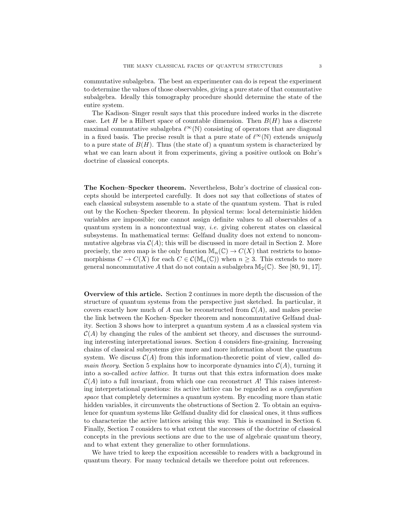commutative subalgebra. The best an experimenter can do is repeat the experiment to determine the values of those observables, giving a pure state of that commutative subalgebra. Ideally this tomography procedure should determine the state of the entire system.

The Kadison–Singer result says that this procedure indeed works in the discrete case. Let H be a Hilbert space of countable dimension. Then  $B(H)$  has a discrete maximal commutative subalgebra  $\ell^{\infty}(\mathbb{N})$  consisting of operators that are diagonal in a fixed basis. The precise result is that a pure state of  $\ell^{\infty}(\mathbb{N})$  extends uniquely to a pure state of  $B(H)$ . Thus (the state of) a quantum system is characterized by what we can learn about it from experiments, giving a positive outlook on Bohr's doctrine of classical concepts.

The Kochen–Specker theorem. Nevertheless, Bohr's doctrine of classical concepts should be interpreted carefully. It does not say that collections of states of each classical subsystem assemble to a state of the quantum system. That is ruled out by the Kochen–Specker theorem. In physical terms: local deterministic hidden variables are impossible; one cannot assign definite values to all observables of a quantum system in a noncontextual way, i.e. giving coherent states on classical subsystems. In mathematical terms: Gelfand duality does not extend to noncommutative algebras via  $\mathcal{C}(A)$ ; this will be discussed in more detail in Section 2. More precisely, the zero map is the only function  $\mathbb{M}_n(\mathbb{C}) \to C(X)$  that restricts to homomorphisms  $C \to C(X)$  for each  $C \in C(\mathbb{M}_n(\mathbb{C}))$  when  $n \geq 3$ . This extends to more general noncommutative A that do not contain a subalgebra  $\mathbb{M}_{2}(\mathbb{C})$ . See [80, 91, 17].

Overview of this article. Section 2 continues in more depth the discussion of the structure of quantum systems from the perspective just sketched. In particular, it covers exactly how much of A can be reconstructed from  $\mathcal{C}(A)$ , and makes precise the link between the Kochen–Specker theorem and noncommutative Gelfand duality. Section 3 shows how to interpret a quantum system A as a classical system via  $\mathcal{C}(A)$  by changing the rules of the ambient set theory, and discusses the surrounding interesting interpretational issues. Section 4 considers fine-graining. Increasing chains of classical subsystems give more and more information about the quantum system. We discuss  $C(A)$  from this information-theoretic point of view, called do*main theory.* Section 5 explains how to incorporate dynamics into  $\mathcal{C}(A)$ , turning it into a so-called active lattice. It turns out that this extra information does make  $\mathcal{C}(A)$  into a full invariant, from which one can reconstruct A! This raises interesting interpretational questions: its active lattice can be regarded as a configuration space that completely determines a quantum system. By encoding more than static hidden variables, it circumvents the obstructions of Section 2. To obtain an equivalence for quantum systems like Gelfand duality did for classical ones, it thus suffices to characterize the active lattices arising this way. This is examined in Section 6. Finally, Section 7 considers to what extent the successes of the doctrine of classical concepts in the previous sections are due to the use of algebraic quantum theory, and to what extent they generalize to other formulations.

We have tried to keep the exposition accessible to readers with a background in quantum theory. For many technical details we therefore point out references.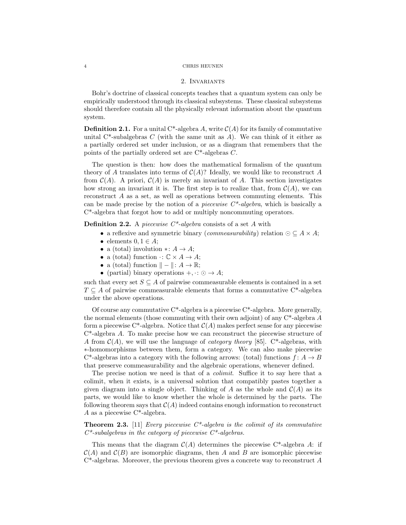#### 2. Invariants

Bohr's doctrine of classical concepts teaches that a quantum system can only be empirically understood through its classical subsystems. These classical subsystems should therefore contain all the physically relevant information about the quantum system.

**Definition 2.1.** For a unital C<sup>\*</sup>-algebra A, write  $C(A)$  for its family of commutative unital C<sup>\*</sup>-subalgebras C (with the same unit as A). We can think of it either as a partially ordered set under inclusion, or as a diagram that remembers that the points of the partially ordered set are C\*-algebras C.

The question is then: how does the mathematical formalism of the quantum theory of A translates into terms of  $\mathcal{C}(A)$ ? Ideally, we would like to reconstruct A from  $\mathcal{C}(A)$ . A priori,  $\mathcal{C}(A)$  is merely an invariant of A. This section investigates how strong an invariant it is. The first step is to realize that, from  $\mathcal{C}(A)$ , we can reconstruct A as a set, as well as operations between commuting elements. This can be made precise by the notion of a *piecewise*  $C^*$ -algebra, which is basically a C\*-algebra that forgot how to add or multiply noncommuting operators.

**Definition 2.2.** A piecewise  $C^*$ -algebra consists of a set A with

- a reflexive and symmetric binary (*commeasurability*) relation  $\odot \subseteq A \times A$ ;
- elements  $0, 1 \in A$ ;
- a (total) involution  $\ast: A \to A$ ;
- a (total) function  $\cdot: \mathbb{C} \times A \rightarrow A$ ;
- a (total) function  $\| \| : A \to \mathbb{R};$
- (partial) binary operations  $+,\cdot: \odot \rightarrow A;$

such that every set  $S \subseteq A$  of pairwise commeasurable elements is contained in a set  $T \subseteq A$  of pairwise commeasurable elements that forms a commutative C<sup>\*</sup>-algebra under the above operations.

Of course any commutative  $C^*$ -algebra is a piecewise  $C^*$ -algebra. More generally, the normal elements (those commuting with their own adjoint) of any  $C^*$ -algebra A form a piecewise C<sup>\*</sup>-algebra. Notice that  $\mathcal{C}(A)$  makes perfect sense for any piecewise C\*-algebra A. To make precise how we can reconstruct the piecewise structure of A from  $\mathcal{C}(A)$ , we will use the language of *category theory* [85]. C<sup>\*</sup>-algebras, with ∗-homomorphisms between them, form a category. We can also make piecewise C<sup>\*</sup>-algebras into a category with the following arrows: (total) functions  $f: A \rightarrow B$ that preserve commeasurability and the algebraic operations, whenever defined.

The precise notion we need is that of a *colimit*. Suffice it to say here that a colimit, when it exists, is a universal solution that compatibly pastes together a given diagram into a single object. Thinking of A as the whole and  $\mathcal{C}(A)$  as its parts, we would like to know whether the whole is determined by the parts. The following theorem says that  $C(A)$  indeed contains enough information to reconstruct A as a piecewise C\*-algebra.

**Theorem 2.3.** [11] Every piecewise  $C^*$ -algebra is the colimit of its commutative  $C^*$ -subalgebras in the category of piecewise  $C^*$ -algebras.

This means that the diagram  $C(A)$  determines the piecewise C<sup>\*</sup>-algebra A: if  $\mathcal{C}(A)$  and  $\mathcal{C}(B)$  are isomorphic diagrams, then A and B are isomorphic piecewise  $C^*$ -algebras. Moreover, the previous theorem gives a concrete way to reconstruct A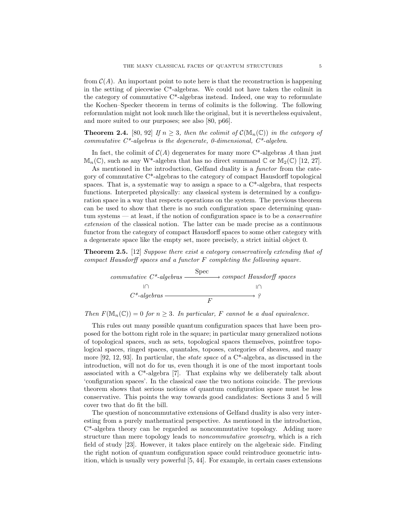from  $\mathcal{C}(A)$ . An important point to note here is that the reconstruction is happening in the setting of piecewise  $C^*$ -algebras. We could not have taken the colimit in the category of commutative C\*-algebras instead. Indeed, one way to reformulate the Kochen–Specker theorem in terms of colimits is the following. The following reformulation might not look much like the original, but it is nevertheless equivalent, and more suited to our purposes; see also [80, p66].

**Theorem 2.4.** [80, 92] If  $n \geq 3$ , then the colimit of  $\mathcal{C}(\mathbb{M}_n(\mathbb{C}))$  in the category of commutative  $C^*$ -algebras is the degenerate, 0-dimensional,  $C^*$ -algebra.

In fact, the colimit of  $C(A)$  degenerates for many more C<sup>\*</sup>-algebras A than just  $\mathbb{M}_n(\mathbb{C})$ , such as any W<sup>\*</sup>-algebra that has no direct summand  $\mathbb{C}$  or  $\mathbb{M}_2(\mathbb{C})$  [12, 27].

As mentioned in the introduction, Gelfand duality is a *functor* from the category of commutative C\*-algebras to the category of compact Hausdorff topological spaces. That is, a systematic way to assign a space to a  $C^*$ -algebra, that respects functions. Interpreted physically: any classical system is determined by a configuration space in a way that respects operations on the system. The previous theorem can be used to show that there is no such configuration space determining quantum systems — at least, if the notion of configuration space is to be a conservative extension of the classical notion. The latter can be made precise as a continuous functor from the category of compact Hausdorff spaces to some other category with a degenerate space like the empty set, more precisely, a strict initial object 0.

Theorem 2.5. [12] Suppose there exist a category conservatively extending that of compact Hausdorff spaces and a functor F completing the following square.



Then  $F(\mathbb{M}_n(\mathbb{C})) = 0$  for  $n \geq 3$ . In particular, F cannot be a dual equivalence.

This rules out many possible quantum configuration spaces that have been proposed for the bottom right role in the square; in particular many generalized notions of topological spaces, such as sets, topological spaces themselves, pointfree topological spaces, ringed spaces, quantales, toposes, categories of sheaves, and many more  $[92, 12, 93]$ . In particular, the *state space* of a  $C^*$ -algebra, as discussed in the introduction, will not do for us, even though it is one of the most important tools associated with a  $C^*$ -algebra [7]. That explains why we deliberately talk about 'configuration spaces'. In the classical case the two notions coincide. The previous theorem shows that serious notions of quantum configuration space must be less conservative. This points the way towards good candidates: Sections 3 and 5 will cover two that do fit the bill.

The question of noncommutative extensions of Gelfand duality is also very interesting from a purely mathematical perspective. As mentioned in the introduction, C\*-algebra theory can be regarded as noncommutative topology. Adding more structure than mere topology leads to noncommutative geometry, which is a rich field of study [23]. However, it takes place entirely on the algebraic side. Finding the right notion of quantum configuration space could reintroduce geometric intuition, which is usually very powerful [5, 44]. For example, in certain cases extensions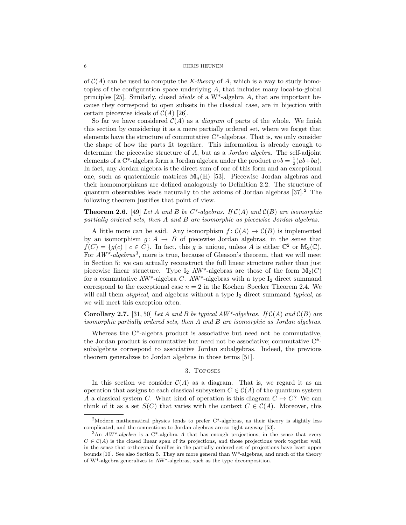of  $\mathcal{C}(A)$  can be used to compute the K-theory of A, which is a way to study homotopies of the configuration space underlying A, that includes many local-to-global principles [25]. Similarly, closed *ideals* of a  $W^*$ -algebra A, that are important because they correspond to open subsets in the classical case, are in bijection with certain piecewise ideals of  $C(A)$  [26].

So far we have considered  $\mathcal{C}(A)$  as a *diagram* of parts of the whole. We finish this section by considering it as a mere partially ordered set, where we forget that elements have the structure of commutative  $C^*$ -algebras. That is, we only consider the shape of how the parts fit together. This information is already enough to determine the piecewise structure of A, but as a Jordan algebra. The self-adjoint elements of a C\*-algebra form a Jordan algebra under the product  $a \circ b = \frac{1}{2}(ab + ba)$ . In fact, any Jordan algebra is the direct sum of one of this form and an exceptional one, such as quaternionic matrices  $\mathbb{M}_n(\mathbb{H})$  [53]. Piecewise Jordan algebras and their homomorphisms are defined analogously to Definition 2.2. The structure of quantum observables leads naturally to the axioms of Jordan algebras  $[37]$ <sup>2</sup>. The following theorem justifies that point of view.

# **Theorem 2.6.** [49] Let A and B be  $C^*$ -algebras. If  $C(A)$  and  $C(B)$  are isomorphic partially ordered sets, then A and B are isomorphic as piecewise Jordan algebras.

A little more can be said. Any isomorphism  $f: C(A) \to C(B)$  is implemented by an isomorphism  $g: A \rightarrow B$  of piecewise Jordan algebras, in the sense that  $f(C) = \{g(c) \mid c \in C\}$ . In fact, this g is unique, unless A is either  $\mathbb{C}^2$  or  $\mathbb{M}_2(\mathbb{C})$ . For  $AW^*$ -algebras<sup>3</sup>, more is true, because of Gleason's theorem, that we will meet in Section 5: we can actually reconstruct the full linear structure rather than just piecewise linear structure. Type I<sub>2</sub> AW<sup>\*</sup>-algebras are those of the form  $\mathbb{M}_2(C)$ for a commutative AW<sup>\*</sup>-algebra C. AW<sup>\*</sup>-algebras with a type  $I_2$  direct summand correspond to the exceptional case  $n = 2$  in the Kochen–Specker Theorem 2.4. We will call them *atypical*, and algebras without a type  $I_2$  direct summand typical, as we will meet this exception often.

# **Corollary 2.7.** [31, 50] Let A and B be typical  $AW^*$ -algebras. If  $C(A)$  and  $C(B)$  are isomorphic partially ordered sets, then A and B are isomorphic as Jordan algebras.

Whereas the  $C^*$ -algebra product is associative but need not be commutative, the Jordan product is commutative but need not be associative; commutative C\* subalgebras correspond to associative Jordan subalgebras. Indeed, the previous theorem generalizes to Jordan algebras in those terms [51].

## 3. Toposes

In this section we consider  $C(A)$  as a diagram. That is, we regard it as an operation that assigns to each classical subsystem  $C \in \mathcal{C}(A)$  of the quantum system A a classical system C. What kind of operation is this diagram  $C \rightarrow C$ ? We can think of it as a set  $S(C)$  that varies with the context  $C \in C(A)$ . Moreover, this

<sup>&</sup>lt;sup>2</sup>Modern mathematical physics tends to prefer  $C^*$ -algebras, as their theory is slightly less complicated, and the connections to Jordan algebras are so tight anyway [53].

 $3<sup>3</sup>$ An AW<sup>\*</sup>-algebra is a C<sup>\*</sup>-algebra A that has enough projections, in the sense that every  $C \in \mathcal{C}(A)$  is the closed linear span of its projections, and those projections work together well, in the sense that orthogonal families in the partially ordered set of projections have least upper bounds [10]. See also Section 5. They are more general than W\*-algebras, and much of the theory of W\*-algebra generalizes to AW\*-algebras, such as the type decomposition.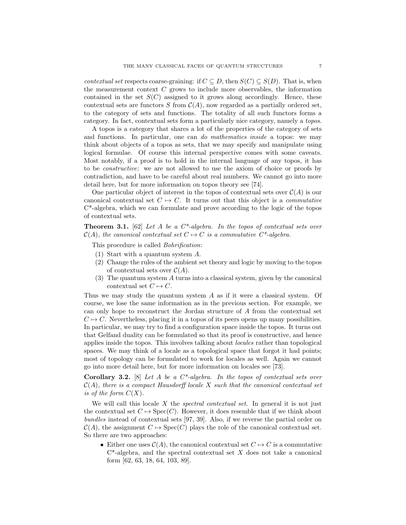contextual set respects coarse-graining: if  $C \subseteq D$ , then  $S(C) \subseteq S(D)$ . That is, when the measurement context  $C$  grows to include more observables, the information contained in the set  $S(C)$  assigned to it grows along accordingly. Hence, these contextual sets are functors S from  $C(A)$ , now regarded as a partially ordered set, to the category of sets and functions. The totality of all such functors forms a category. In fact, contextual sets form a particularly nice category, namely a topos.

A topos is a category that shares a lot of the properties of the category of sets and functions. In particular, one can do mathematics inside a topos: we may think about objects of a topos as sets, that we may specify and manipulate using logical formulae. Of course this internal perspective comes with some caveats. Most notably, if a proof is to hold in the internal language of any topos, it has to be constructive: we are not allowed to use the axiom of choice or proofs by contradiction, and have to be careful about real numbers. We cannot go into more detail here, but for more information on topos theory see [74].

One particular object of interest in the topos of contextual sets over  $\mathcal{C}(A)$  is our canonical contextual set  $C \rightarrow C$ . It turns out that this object is a *commutative* C\*-algebra, which we can formulate and prove according to the logic of the topos of contextual sets.

**Theorem 3.1.** [62] Let A be a  $C^*$ -algebra. In the topos of contextual sets over  $\mathcal{C}(A)$ , the canonical contextual set  $C \mapsto C$  is a commutative  $C^*$ -algebra.

This procedure is called *Bohrification*:

- (1) Start with a quantum system A.
- (2) Change the rules of the ambient set theory and logic by moving to the topos of contextual sets over  $C(A)$ .
- (3) The quantum system A turns into a classical system, given by the canonical contextual set  $C \mapsto C$ .

Thus we may study the quantum system  $A$  as if it were a classical system. Of course, we lose the same information as in the previous section. For example, we can only hope to reconstruct the Jordan structure of A from the contextual set  $C \rightarrow C$ . Nevertheless, placing it in a topos of its peers opens up many possibilities. In particular, we may try to find a configuration space inside the topos. It turns out that Gelfand duality can be formulated so that its proof is constructive, and hence applies inside the topos. This involves talking about locales rather than topological spaces. We may think of a locale as a topological space that forgot it had points; most of topology can be formulated to work for locales as well. Again we cannot go into more detail here, but for more information on locales see [73].

**Corollary 3.2.** [8] Let A be a  $C^*$ -algebra. In the topos of contextual sets over  $\mathcal{C}(A)$ , there is a compact Hausdorff locale X such that the canonical contextual set is of the form  $C(X)$ .

We will call this locale  $X$  the *spectral contextual set*. In general it is not just the contextual set  $C \mapsto \text{Spec}(C)$ . However, it does resemble that if we think about bundles instead of contextual sets [97, 39]. Also, if we reverse the partial order on  $C(A)$ , the assignment  $C \rightarrow \text{Spec}(C)$  plays the role of the canonical contextual set. So there are two approaches:

• Either one uses  $\mathcal{C}(A)$ , the canonical contextual set  $C \mapsto C$  is a commutative  $C^*$ -algebra, and the spectral contextual set X does not take a canonical form [62, 63, 18, 64, 103, 89].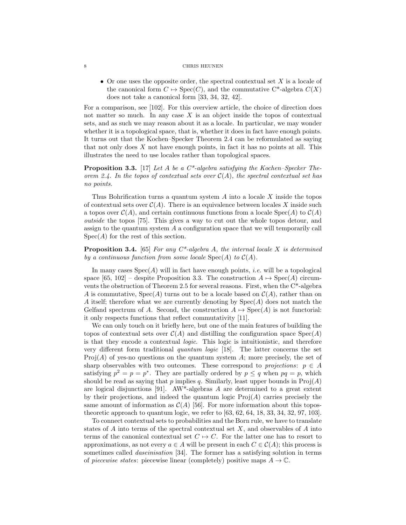• Or one uses the opposite order, the spectral contextual set  $X$  is a locale of the canonical form  $C \mapsto \text{Spec}(C)$ , and the commutative C<sup>\*</sup>-algebra  $C(X)$ does not take a canonical form [33, 34, 32, 42].

For a comparison, see [102]. For this overview article, the choice of direction does not matter so much. In any case  $X$  is an object inside the topos of contextual sets, and as such we may reason about it as a locale. In particular, we may wonder whether it is a topological space, that is, whether it does in fact have enough points. It turns out that the Kochen–Specker Theorem 2.4 can be reformulated as saying that not only does  $X$  not have enough points, in fact it has no points at all. This illustrates the need to use locales rather than topological spaces.

**Proposition 3.3.** [17] Let A be a  $C^*$ -algebra satisfying the Kochen–Specker Theorem 2.4. In the topos of contextual sets over  $\mathcal{C}(A)$ , the spectral contextual set has no points.

Thus Bohrification turns a quantum system  $A$  into a locale  $X$  inside the topos of contextual sets over  $C(A)$ . There is an equivalence between locales X inside such a topos over  $\mathcal{C}(A)$ , and certain continuous functions from a locale  $Spec(A)$  to  $\mathcal{C}(A)$ outside the topos [75]. This gives a way to cut out the whole topos detour, and assign to the quantum system A a configuration space that we will temporarily call  $Spec(A)$  for the rest of this section.

**Proposition 3.4.** [65] For any  $C^*$ -algebra A, the internal locale X is determined by a continuous function from some locale  $Spec(A)$  to  $C(A)$ .

In many cases  $Spec(A)$  will in fact have enough points, *i.e.* will be a topological space [65, 102] – despite Proposition 3.3. The construction  $A \mapsto \text{Spec}(A)$  circumvents the obstruction of Theorem 2.5 for several reasons. First, when the  $C^*$ -algebra A is commutative,  $Spec(A)$  turns out to be a locale based on  $C(A)$ , rather than on A itself; therefore what we are currently denoting by  $Spec(A)$  does not match the Gelfand spectrum of A. Second, the construction  $A \mapsto \text{Spec}(A)$  is not functorial: it only respects functions that reflect commutativity [11].

We can only touch on it briefly here, but one of the main features of building the topos of contextual sets over  $\mathcal{C}(A)$  and distilling the configuration space  $Spec(A)$ is that they encode a contextual logic. This logic is intuitionistic, and therefore very different form traditional quantum logic [18]. The latter concerns the set  $Proj(A)$  of yes-no questions on the quantum system  $A$ ; more precisely, the set of sharp observables with two outcomes. These correspond to projections:  $p \in A$ satisfying  $p^2 = p = p^*$ . They are partially ordered by  $p \leq q$  when  $pq = p$ , which should be read as saying that p implies q. Similarly, least upper bounds in  $\text{Proj}(A)$ are logical disjunctions [91]. AW\*-algebras  $A$  are determined to a great extent by their projections, and indeed the quantum logic  $\text{Proj}(A)$  carries precisely the same amount of information as  $\mathcal{C}(A)$  [56]. For more information about this topostheoretic approach to quantum logic, we refer to [63, 62, 64, 18, 33, 34, 32, 97, 103].

To connect contextual sets to probabilities and the Born rule, we have to translate states of  $A$  into terms of the spectral contextual set  $X$ , and observables of  $A$  into terms of the canonical contextual set  $C \rightarrow C$ . For the latter one has to resort to approximations, as not every  $a \in A$  will be present in each  $C \in \mathcal{C}(A)$ ; this process is sometimes called *daseinisation* [34]. The former has a satisfying solution in terms of piecewise states: piecewise linear (completely) positive maps  $A \to \mathbb{C}$ .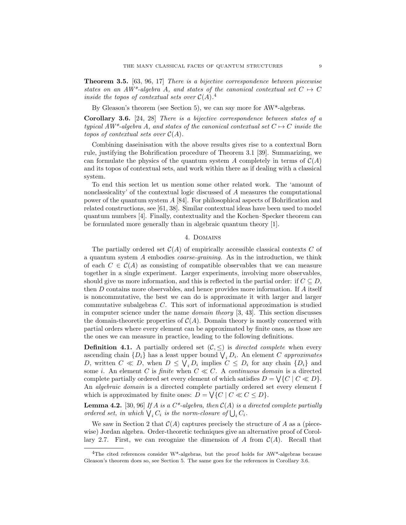Theorem 3.5. [63, 96, 17] There is a bijective correspondence between piecewise states on an AW<sup>\*</sup>-algebra A, and states of the canonical contextual set  $C \rightarrow C$ inside the topos of contextual sets over  $C(A)$ .<sup>4</sup>

By Gleason's theorem (see Section 5), we can say more for AW\*-algebras.

Corollary 3.6. [24, 28] There is a bijective correspondence between states of a typical  $AW^*$ -algebra A, and states of the canonical contextual set  $C \rightarrow C$  inside the topos of contextual sets over  $C(A)$ .

Combining daseinisation with the above results gives rise to a contextual Born rule, justifying the Bohrification procedure of Theorem 3.1 [39]. Summarizing, we can formulate the physics of the quantum system A completely in terms of  $\mathcal{C}(A)$ and its topos of contextual sets, and work within there as if dealing with a classical system.

To end this section let us mention some other related work. The 'amount of nonclassicality' of the contextual logic discussed of A measures the computational power of the quantum system A [84]. For philosophical aspects of Bohrification and related constructions, see [61, 38]. Similar contextual ideas have been used to model quantum numbers [4]. Finally, contextuality and the Kochen–Specker theorem can be formulated more generally than in algebraic quantum theory [1].

### 4. Domains

The partially ordered set  $\mathcal{C}(A)$  of empirically accessible classical contexts C of a quantum system A embodies coarse-graining. As in the introduction, we think of each  $C \in \mathcal{C}(A)$  as consisting of compatible observables that we can measure together in a single experiment. Larger experiments, involving more observables, should give us more information, and this is reflected in the partial order: if  $C \subseteq D$ , then D contains more observables, and hence provides more information. If A itself is noncommutative, the best we can do is approximate it with larger and larger commutative subalgebras C. This sort of informational approximation is studied in computer science under the name domain theory [3, 43]. This section discusses the domain-theoretic properties of  $\mathcal{C}(A)$ . Domain theory is mostly concerned with partial orders where every element can be approximated by finite ones, as those are the ones we can measure in practice, leading to the following definitions.

**Definition 4.1.** A partially ordered set  $(C, \leq)$  is directed complete when every ascending chain  $\{D_i\}$  has a least upper bound  $\bigvee_i D_i$ . An element C approximates D, written  $C \ll D$ , when  $D \leq \bigvee_i D_i$  implies  $C \leq D_i$  for any chain  $\{D_i\}$  and some *i*. An element C is *finite* when  $C \ll C$ . A *continuous domain* is a directed complete partially ordered set every element of which satisfies  $D = \bigvee \{C \mid C \ll D\}.$ An algebraic domain is a directed complete partially ordered set every element f which is approximated by finite ones:  $D = \bigvee \{C \mid C \ll C \leq D\}.$ 

**Lemma 4.2.** [30, 96] If A is a  $C^*$ -algebra, then  $C(A)$  is a directed complete partially ordered set, in which  $\bigvee_i C_i$  is the norm-closure of  $\bigcup_i C_i$ .

We saw in Section 2 that  $\mathcal{C}(A)$  captures precisely the structure of A as a (piecewise) Jordan algebra. Order-theoretic techniques give an alternative proof of Corollary 2.7. First, we can recognize the dimension of A from  $C(A)$ . Recall that

 $4$ The cited references consider W<sup>\*</sup>-algebras, but the proof holds for AW<sup>\*</sup>-algebras because Gleason's theorem does so, see Section 5. The same goes for the references in Corollary 3.6.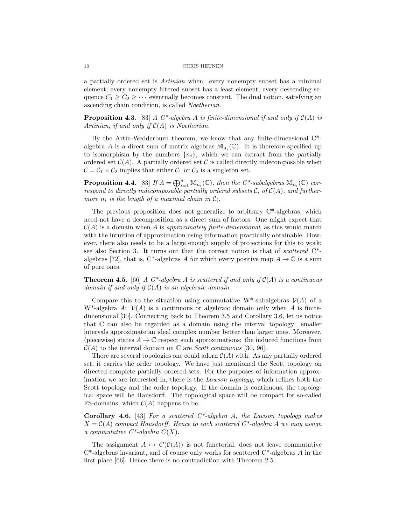a partially ordered set is Artinian when: every nonempty subset has a minimal element; every nonempty filtered subset has a least element; every descending sequence  $C_1 \geq C_2 \geq \cdots$  eventually becomes constant. The dual notion, satisfying an ascending chain condition, is called Noetherian.

**Proposition 4.3.** [83] A  $C^*$ -algebra A is finite-dimensional if and only if  $C(A)$  is Artinian, if and only if  $C(A)$  is Noetherian.

By the Artin-Wedderburn theorem, we know that any finite-dimensional C\* algebra A is a direct sum of matrix algebras  $\mathbb{M}_{n_i}(\mathbb{C})$ . It is therefore specified up to isomorphism by the numbers  $\{n_i\}$ , which we can extract from the partially ordered set  $\mathcal{C}(A)$ . A partially ordered set C is called directly indecomposable when  $C = C_1 \times C_2$  implies that either  $C_1$  or  $C_2$  is a singleton set.

**Proposition 4.4.** [83] If  $A = \bigoplus_{i=1}^{n} M_{n_i}(\mathbb{C})$ , then the C\*-subalgebras  $M_{n_i}(\mathbb{C})$  correspond to directly indecomposable partially ordered subsets  $C_i$  of  $C(A)$ , and furthermore  $n_i$  is the length of a maximal chain in  $C_i$ .

The previous proposition does not generalize to arbitrary  $C^*$ -algebras, which need not have a decomposition as a direct sum of factors. One might expect that  $\mathcal{C}(A)$  is a domain when A is approximately finite-dimensional, as this would match with the intuition of approximation using information practically obtainable. However, there also needs to be a large enough supply of projections for this to work; see also Section 3. It turns out that the correct notion is that of scattered C\* algebras [72], that is, C\*-algebras A for which every positive map  $A \to \mathbb{C}$  is a sum of pure ones.

**Theorem 4.5.** [66] A  $C^*$ -algebra A is scattered if and only if  $C(A)$  is a continuous domain if and only if  $C(A)$  is an algebraic domain.

Compare this to the situation using commutative W<sup>\*</sup>-subalgebras  $\mathcal{V}(A)$  of a W<sup>\*</sup>-algebra A:  $\mathcal{V}(A)$  is a continuous or algebraic domain only when A is finitedimensional [30]. Connecting back to Theorem 3.5 and Corollary 3.6, let us notice that C can also be regarded as a domain using the interval topology: smaller intervals approximate an ideal complex number better than larger ones. Moreover, (piecewise) states  $A \to \mathbb{C}$  respect such approximations: the induced functions from  $\mathcal{C}(A)$  to the interval domain on  $\mathbb C$  are *Scott continuous* [30, 96].

There are several topologies one could adorn  $C(A)$  with. As any partially ordered set, it carries the order topology. We have just mentioned the Scott topology on directed complete partially ordered sets. For the purposes of information approximation we are interested in, there is the *Lawson topology*, which refines both the Scott topology and the order topology. If the domain is continuous, the topological space will be Hausdorff. The topological space will be compact for so-called FS-domains, which  $C(A)$  happens to be.

Corollary 4.6. [43] For a scattered  $C^*$ -algebra A, the Lawson topology makes  $X = \mathcal{C}(A)$  compact Hausdorff. Hence to each scattered  $C^*$ -algebra A we may assign a commutative  $C^*$ -algebra  $C(X)$ .

The assignment  $A \mapsto C(C(A))$  is not functorial, does not leave commutative  $C^*$ -algebras invariant, and of course only works for scattered  $C^*$ -algebras A in the first place [66]. Hence there is no contradiction with Theorem 2.5.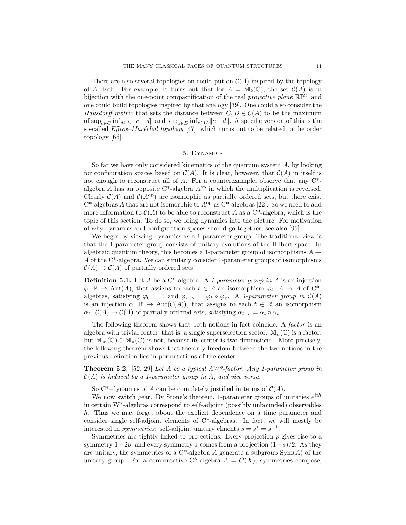There are also several topologies on could put on  $C(A)$  inspired by the topology of A itself. For example, it turns out that for  $A = M_2(\mathbb{C})$ , the set  $\mathcal{C}(A)$  is in bijection with the one-point compactification of the real *projective plane*  $\mathbb{RP}^2$ , and one could build topologies inspired by that analogy [39]. One could also consider the Hausdorff metric that sets the distance between  $C, D \in \mathcal{C}(A)$  to be the maximum of  $\sup_{c \in C} \inf_{d \in D} ||c - d||$  and  $\sup_{d \in D} \inf_{c \in C} ||c - d||$ . A specific version of this is the so-called *Effros–Maréchal topology* [47], which turns out to be related to the order topology [66].

# 5. Dynamics

So far we have only considered kinematics of the quantum system  $A$ , by looking for configuration spaces based on  $\mathcal{C}(A)$ . It is clear, however, that  $\mathcal{C}(A)$  in itself is not enough to reconstruct all of A. For a counterexample, observe that any C\* algebra A has an opposite  $C^*$ -algebra  $A^{op}$  in which the multiplication is reversed. Clearly  $C(A)$  and  $C(A^{op})$  are isomorphic as partially ordered sets, but there exist  $C^*$ -algebras A that are not isomorphic to  $A^{op}$  as  $C^*$ -algebras [22]. So we need to add more information to  $\mathcal{C}(A)$  to be able to reconstruct A as a C<sup>\*</sup>-algebra, which is the topic of this section. To do so, we bring dynamics into the picture. For motivation of why dynamics and configuration spaces should go together, see also [95].

We begin by viewing dynamics as a 1-parameter group. The traditional view is that the 1-parameter group consists of unitary evolutions of the Hilbert space. In algebraic quantum theory, this becomes a 1-parameter group of isomorphisms  $A \rightarrow$ A of the C\*-algebra. We can similarly consider 1-parameter groups of isomorphisms  $C(A) \to C(A)$  of partially ordered sets.

**Definition 5.1.** Let A be a  $C^*$ -algebra. A 1-parameter group in A is an injection  $\varphi: \mathbb{R} \to \text{Aut}(A)$ , that assigns to each  $t \in \mathbb{R}$  an isomorphism  $\varphi_t: A \to A$  of C<sup>\*</sup>algebras, satisfying  $\varphi_0 = 1$  and  $\varphi_{t+s} = \varphi_t \circ \varphi_s$ . A 1-parameter group in  $\mathcal{C}(A)$ is an injection  $\alpha: \mathbb{R} \to \text{Aut}(\mathcal{C}(A))$ , that assigns to each  $t \in \mathbb{R}$  an isomorphism  $\alpha_t : C(A) \to C(A)$  of partially ordered sets, satisfying  $\alpha_{t+s} = \alpha_t \circ \alpha_s$ .

The following theorem shows that both notions in fact coincide. A *factor* is an algebra with trivial center, that is, a single superselection sector:  $\mathbb{M}_n(\mathbb{C})$  is a factor, but  $\mathbb{M}_m(\mathbb{C}) \oplus \mathbb{M}_n(\mathbb{C})$  is not, because its center is two-dimensional. More precisely, the following theorem shows that the only freedom between the two notions in the previous definition lies in permutations of the center.

**Theorem 5.2.** [52, 29] Let A be a typical  $AW^*$ -factor. Any 1-parameter group in  $\mathcal{C}(A)$  is induced by a 1-parameter group in A, and vice versa.

So C<sup>\*</sup>–dynamics of A can be completely justified in terms of  $C(A)$ .

We now switch gear. By Stone's theorem, 1-parameter groups of unitaries  $e^{ith}$ in certain  $W^*$ -algebras correspond to self-adjoint (possibly unbounded) observables h. Thus we may forget about the explicit dependence on a time parameter and consider single self-adjoint elements of  $C^*$ -algebras. In fact, we will mostly be interested in *symmetries*: self-adjoint unitary elments  $s = s^* = s^{-1}$ .

Symmetries are tightly linked to projections. Every projection  $p$  gives rise to a symmetry  $1-2p$ , and every symmetry s comes from a projection  $(1-s)/2$ . As they are unitary, the symmetries of a  $C^*$ -algebra A generate a subgroup  $Sym(A)$  of the unitary group. For a commutative C\*-algebra  $A = C(X)$ , symmetries compose,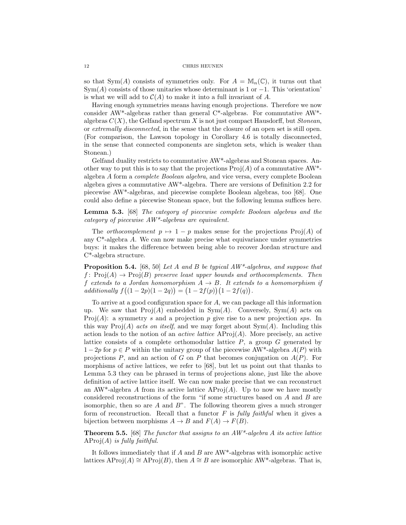so that Sym(A) consists of symmetries only. For  $A = \mathbb{M}_n(\mathbb{C})$ , it turns out that  $Sym(A)$  consists of those unitaries whose determinant is 1 or  $-1$ . This 'orientation' is what we will add to  $C(A)$  to make it into a full invariant of A.

Having enough symmetries means having enough projections. Therefore we now consider AW\*-algebras rather than general C\*-algebras. For commutative AW\* algebras  $C(X)$ , the Gelfand spectrum X is not just compact Hausdorff, but Stonean, or extremally disconnected, in the sense that the closure of an open set is still open. (For comparison, the Lawson topology in Corollary 4.6 is totally disconnected, in the sense that connected components are singleton sets, which is weaker than Stonean.)

Gelfand duality restricts to commutative AW\*-algebras and Stonean spaces. Another way to put this is to say that the projections  $\text{Proj}(A)$  of a commutative  $AW^*$ algebra A form a complete Boolean algebra, and vice versa, every complete Boolean algebra gives a commutative AW\*-algebra. There are versions of Definition 2.2 for piecewise AW\*-algebras, and piecewise complete Boolean algebras, too [68]. One could also define a piecewise Stonean space, but the following lemma suffices here.

Lemma 5.3. [68] The category of piecewise complete Boolean algebras and the category of piecewise AW\*-algebras are equivalent.

The *orthocomplement*  $p \mapsto 1 - p$  makes sense for the projections Proj(A) of any C\*-algebra A. We can now make precise what equivariance under symmetries buys: it makes the difference between being able to recover Jordan structure and C\*-algebra structure.

**Proposition 5.4.** [68, 50] Let A and B be typical  $AW^*$ -algebras, and suppose that f:  $\text{Proj}(A) \to \text{Proj}(B)$  preserve least upper bounds and orthocomplements. Then f extends to a Jordan homomorphism  $A \rightarrow B$ . It extends to a homomorphism if  $additionally f((1-2p)(1-2q)) = (1-2f(p))(1-2f(q)).$ 

To arrive at a good configuration space for A, we can package all this information up. We saw that  $Proj(A)$  embedded in  $Sym(A)$ . Conversely,  $Sym(A)$  acts on Proj(A): a symmetry s and a projection p give rise to a new projection sps. In this way  $\text{Proj}(A)$  acts on itself, and we may forget about  $\text{Sym}(A)$ . Including this action leads to the notion of an *active lattice*  $AProj(A)$ . More precisely, an active lattice consists of a complete orthomodular lattice  $P$ , a group  $G$  generated by  $1 - 2p$  for  $p \in P$  within the unitary group of the piecewise AW<sup>\*</sup>-algebra  $A(P)$  with projections  $P$ , and an action of G on P that becomes conjugation on  $A(P)$ . For morphisms of active lattices, we refer to [68], but let us point out that thanks to Lemma 5.3 they can be phrased in terms of projections alone, just like the above definition of active lattice itself. We can now make precise that we can reconstruct an AW<sup>\*</sup>-algebra A from its active lattice AProj $(A)$ . Up to now we have mostly considered reconstructions of the form "if some structures based on A and B are isomorphic, then so are  $A$  and  $B$ ". The following theorem gives a much stronger form of reconstruction. Recall that a functor  $F$  is *fully faithful* when it gives a bijection between morphisms  $A \to B$  and  $F(A) \to F(B)$ .

**Theorem 5.5.** [68] The functor that assigns to an  $AW^*$ -algebra A its active lattice  $AProi(A)$  is fully faithful.

It follows immediately that if  $A$  and  $B$  are  $AW^*$ -algebras with isomorphic active lattices AProj(A) ≅ AProj(B), then  $A \cong B$  are isomorphic AW\*-algebras. That is,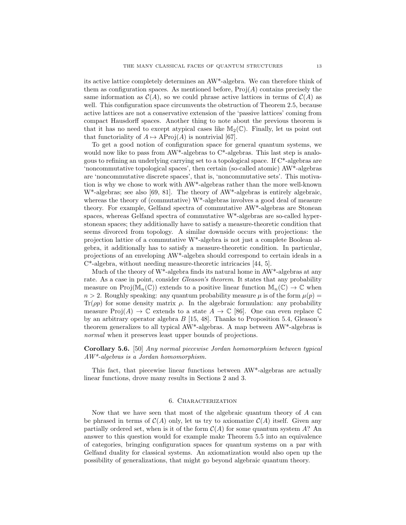its active lattice completely determines an AW\*-algebra. We can therefore think of them as configuration spaces. As mentioned before,  $Proj(A)$  contains precisely the same information as  $\mathcal{C}(A)$ , so we could phrase active lattices in terms of  $\mathcal{C}(A)$  as well. This configuration space circumvents the obstruction of Theorem 2.5, because active lattices are not a conservative extension of the 'passive lattices' coming from compact Hausdorff spaces. Another thing to note about the previous theorem is that it has no need to except atypical cases like  $\mathbb{M}_2(\mathbb{C})$ . Finally, let us point out that functoriality of  $A \mapsto \text{AProj}(A)$  is nontrivial [67].

To get a good notion of configuration space for general quantum systems, we would now like to pass from AW<sup>\*</sup>-algebras to C<sup>\*</sup>-algebras. This last step is analogous to refining an underlying carrying set to a topological space. If C\*-algebras are 'noncommutative topological spaces', then certain (so-called atomic) AW\*-algebras are 'noncommutative discrete spaces', that is, 'noncommutative sets'. This motivation is why we chose to work with AW\*-algebras rather than the more well-known W\*-algebras; see also [69, 81]. The theory of AW\*-algebras is entirely algebraic, whereas the theory of (commutative) W\*-algebras involves a good deal of measure theory. For example, Gelfand spectra of commutative AW\*-algebras are Stonean spaces, whereas Gelfand spectra of commutative W\*-algebras are so-called hyperstonean spaces; they additionally have to satisfy a measure-theoretic condition that seems divorced from topology. A similar downside occurs with projections: the projection lattice of a commutative W\*-algebra is not just a complete Boolean algebra, it additionally has to satisfy a measure-theoretic condition. In particular, projections of an enveloping AW\*-algebra should correspond to certain ideals in a C\*-algebra, without needing measure-theoretic intricacies [44, 5].

Much of the theory of  $W^*$ -algebra finds its natural home in  $AW^*$ -algebras at any rate. As a case in point, consider *Gleason's theorem*. It states that any probability measure on Proj( $\mathbb{M}_n(\mathbb{C})$ ) extends to a positive linear function  $\mathbb{M}_n(\mathbb{C}) \to \mathbb{C}$  when  $n > 2$ . Roughly speaking: any quantum probability measure  $\mu$  is of the form  $\mu(p) =$ Tr( $\rho$ p) for some density matrix  $\rho$ . In the algebraic formulation: any probability measure  $\text{Proj}(A) \to \mathbb{C}$  extends to a state  $A \to \mathbb{C}$  [86]. One can even replace  $\mathbb{C}$ by an arbitrary operator algebra  $B$  [15, 48]. Thanks to Proposition 5.4, Gleason's theorem generalizes to all typical AW\*-algebras. A map between AW\*-algebras is normal when it preserves least upper bounds of projections.

Corollary 5.6. [50] Any normal piecewise Jordan homomorphism between typical AW\*-algebras is a Jordan homomorphism.

This fact, that piecewise linear functions between AW\*-algebras are actually linear functions, drove many results in Sections 2 and 3.

### 6. Characterization

Now that we have seen that most of the algebraic quantum theory of  $A$  can be phrased in terms of  $\mathcal{C}(A)$  only, let us try to axiomatize  $\mathcal{C}(A)$  itself. Given any partially ordered set, when is it of the form  $C(A)$  for some quantum system A? An answer to this question would for example make Theorem 5.5 into an equivalence of categories, bringing configuration spaces for quantum systems on a par with Gelfand duality for classical systems. An axiomatization would also open up the possibility of generalizations, that might go beyond algebraic quantum theory.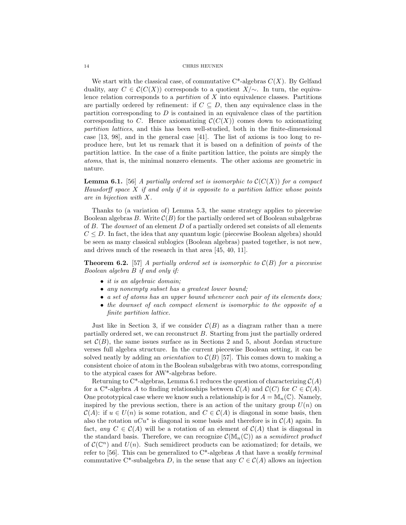We start with the classical case, of commutative  $C^*$ -algebras  $C(X)$ . By Gelfand duality, any  $C \in \mathcal{C}(C(X))$  corresponds to a quotient  $X/\sim$ . In turn, the equivalence relation corresponds to a *partition* of  $X$  into equivalence classes. Partitions are partially ordered by refinement: if  $C \subseteq D$ , then any equivalence class in the partition corresponding to  $D$  is contained in an equivalence class of the partition corresponding to C. Hence axiomatizing  $\mathcal{C}(C(X))$  comes down to axiomatizing partition lattices, and this has been well-studied, both in the finite-dimensional case [13, 98], and in the general case [41]. The list of axioms is too long to reproduce here, but let us remark that it is based on a definition of points of the partition lattice. In the case of a finite partition lattice, the points are simply the atoms, that is, the minimal nonzero elements. The other axioms are geometric in nature.

**Lemma 6.1.** [56] A partially ordered set is isomorphic to  $\mathcal{C}(C(X))$  for a compact Hausdorff space  $X$  if and only if it is opposite to a partition lattice whose points are in bijection with X.

Thanks to (a variation of) Lemma 5.3, the same strategy applies to piecewise Boolean algebras  $B$ . Write  $\mathcal{C}(B)$  for the partially ordered set of Boolean subalgebras of  $B$ . The *downset* of an element  $D$  of a partially ordered set consists of all elements  $C \leq D$ . In fact, the idea that any quantum logic (piecewise Boolean algebra) should be seen as many classical sublogics (Boolean algebras) pasted together, is not new, and drives much of the research in that area [45, 40, 11].

**Theorem 6.2.** [57] A partially ordered set is isomorphic to  $\mathcal{C}(B)$  for a piecewise Boolean algebra B if and only if:

- it is an algebraic domain;
- any nonempty subset has a greatest lower bound;
- a set of atoms has an upper bound whenever each pair of its elements does;
- the downset of each compact element is isomorphic to the opposite of a finite partition lattice.

Just like in Section 3, if we consider  $\mathcal{C}(B)$  as a diagram rather than a mere partially ordered set, we can reconstruct B. Starting from just the partially ordered set  $\mathcal{C}(B)$ , the same issues surface as in Sections 2 and 5, about Jordan structure verses full algebra structure. In the current piecewise Boolean setting, it can be solved neatly by adding an *orientation* to  $\mathcal{C}(B)$  [57]. This comes down to making a consistent choice of atom in the Boolean subalgebras with two atoms, corresponding to the atypical cases for AW\*-algebras before.

Returning to C<sup>\*</sup>-algebras, Lemma 6.1 reduces the question of characterizing  $\mathcal{C}(A)$ for a C<sup>\*</sup>-algebra A to finding relationships between  $\mathcal{C}(A)$  and  $\mathcal{C}(C)$  for  $C \in \mathcal{C}(A)$ . One prototypical case where we know such a relationship is for  $A = \mathbb{M}_n(\mathbb{C})$ . Namely, inspired by the previous section, there is an action of the unitary group  $U(n)$  on  $\mathcal{C}(A)$ : if  $u \in U(n)$  is some rotation, and  $C \in \mathcal{C}(A)$  is diagonal in some basis, then also the rotation  $uCu^*$  is diagonal in some basis and therefore is in  $\mathcal{C}(A)$  again. In fact, any  $C \in \mathcal{C}(A)$  will be a rotation of an element of  $\mathcal{C}(A)$  that is diagonal in the standard basis. Therefore, we can recognize  $\mathcal{C}(\mathbb{M}_n(\mathbb{C}))$  as a semidirect product of  $\mathcal{C}(\mathbb{C}^n)$  and  $U(n)$ . Such semidirect products can be axiomatized; for details, we refer to [56]. This can be generalized to  $C^*$ -algebras A that have a weakly terminal commutative C<sup>\*</sup>-subalgebra D, in the sense that any  $C \in \mathcal{C}(A)$  allows an injection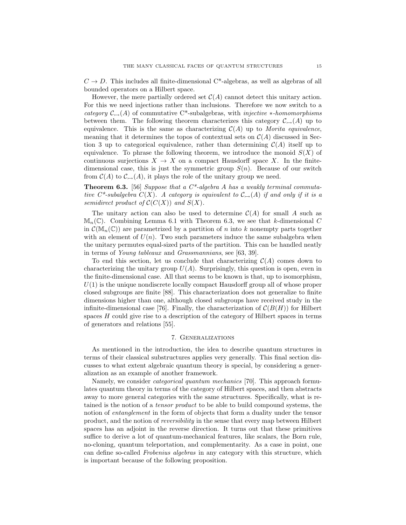$C \rightarrow D$ . This includes all finite-dimensional C<sup>\*</sup>-algebras, as well as algebras of all bounded operators on a Hilbert space.

However, the mere partially ordered set  $C(A)$  cannot detect this unitary action. For this we need injections rather than inclusions. Therefore we now switch to a category  $\mathcal{C}_{\rightarrow}(A)$  of commutative C<sup>\*</sup>-subalgebras, with *injective ∗-homomorphisms* between them. The following theorem characterizes this category  $\mathcal{C}_{\rightarrow}(A)$  up to equivalence. This is the same as characterizing  $C(A)$  up to Morita equivalence, meaning that it determines the topos of contextual sets on  $\mathcal{C}(A)$  discussed in Section 3 up to categorical equivalence, rather than determining  $\mathcal{C}(A)$  itself up to equivalence. To phrase the following theorem, we introduce the monoid  $S(X)$  of continuous surjections  $X \to X$  on a compact Hausdorff space X. In the finitedimensional case, this is just the symmetric group  $S(n)$ . Because of our switch from  $\mathcal{C}(A)$  to  $\mathcal{C}_{\rightarrow}(A)$ , it plays the role of the unitary group we need.

**Theorem 6.3.** [56] Suppose that a  $C^*$ -algebra A has a weakly terminal commutative C\*-subalgebra  $C(X)$ . A category is equivalent to  $C_{\rightarrow}(A)$  if and only if it is a semidirect product of  $\mathcal{C}(C(X))$  and  $S(X)$ .

The unitary action can also be used to determine  $\mathcal{C}(A)$  for small A such as  $\mathbb{M}_n(\mathbb{C})$ . Combining Lemma 6.1 with Theorem 6.3, we see that k-dimensional C in  $\mathcal{C}(\mathbb{M}_{n}(\mathbb{C}))$  are parametrized by a partition of n into k nonempty parts together with an element of  $U(n)$ . Two such parameters induce the same subalgebra when the unitary permutes equal-sized parts of the partition. This can be handled neatly in terms of Young tableaux and Grassmannians, see [63, 39].

To end this section, let us conclude that characterizing  $\mathcal{C}(A)$  comes down to characterizing the unitary group  $U(A)$ . Surprisingly, this question is open, even in the finite-dimensional case. All that seems to be known is that, up to isomorphism,  $U(1)$  is the unique nondiscrete locally compact Hausdorff group all of whose proper closed subgroups are finite [88]. This characterization does not generalize to finite dimensions higher than one, although closed subgroups have received study in the infinite-dimensional case [76]. Finally, the characterization of  $\mathcal{C}(B(H))$  for Hilbert spaces H could give rise to a description of the category of Hilbert spaces in terms of generators and relations [55].

#### 7. Generalizations

As mentioned in the introduction, the idea to describe quantum structures in terms of their classical substructures applies very generally. This final section discusses to what extent algebraic quantum theory is special, by considering a generalization as an example of another framework.

Namely, we consider *categorical quantum mechanics* [70]. This approach formulates quantum theory in terms of the category of Hilbert spaces, and then abstracts away to more general categories with the same structures. Specifically, what is retained is the notion of a tensor product to be able to build compound systems, the notion of *entanglement* in the form of objects that form a duality under the tensor product, and the notion of reversibility in the sense that every map between Hilbert spaces has an adjoint in the reverse direction. It turns out that these primitives suffice to derive a lot of quantum-mechanical features, like scalars, the Born rule, no-cloning, quantum teleportation, and complementarity. As a case in point, one can define so-called Frobenius algebras in any category with this structure, which is important because of the following proposition.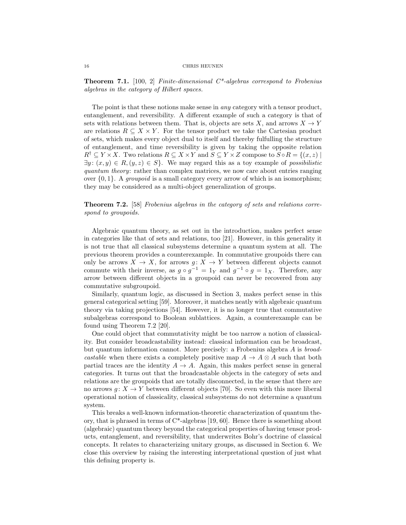**Theorem 7.1.** [100, 2] Finite-dimensional  $C^*$ -algebras correspond to Frobenius algebras in the category of Hilbert spaces.

The point is that these notions make sense in *any* category with a tensor product, entanglement, and reversibility. A different example of such a category is that of sets with relations between them. That is, objects are sets X, and arrows  $X \to Y$ are relations  $R \subseteq X \times Y$ . For the tensor product we take the Cartesian product of sets, which makes every object dual to itself and thereby fulfulling the structure of entanglement, and time reversibility is given by taking the opposite relation  $R^{\dagger} \subseteq Y \times X$ . Two relations  $R \subseteq X \times Y$  and  $S \subseteq Y \times Z$  compose to  $S \circ R = \{(x, z) \mid$  $\exists y: (x, y) \in R, (y, z) \in S$ . We may regard this as a toy example of possibilistic quantum theory: rather than complex matrices, we now care about entries ranging over  $\{0, 1\}$ . A *groupoid* is a small category every arrow of which is an isomorphism; they may be considered as a multi-object generalization of groups.

Theorem 7.2. [58] Frobenius algebras in the category of sets and relations correspond to groupoids.

Algebraic quantum theory, as set out in the introduction, makes perfect sense in categories like that of sets and relations, too [21]. However, in this generality it is not true that all classical subsystems determine a quantum system at all. The previous theorem provides a counterexample. In commutative groupoids there can only be arrows  $X \to X$ , for arrows  $g: X \to Y$  between different objects cannot commute with their inverse, as  $g \circ g^{-1} = 1_Y$  and  $g^{-1} \circ g = 1_X$ . Therefore, any arrow between different objects in a groupoid can never be recovered from any commutative subgroupoid.

Similarly, quantum logic, as discussed in Section 3, makes perfect sense in this general categorical setting [59]. Moreover, it matches neatly with algebraic quantum theory via taking projections [54]. However, it is no longer true that commutative subalgebras correspond to Boolean sublattices. Again, a counterexample can be found using Theorem 7.2 [20].

One could object that commutativity might be too narrow a notion of classicality. But consider broadcastability instead: classical information can be broadcast, but quantum information cannot. More precisely: a Frobenius algebra A is broadcastable when there exists a completely positive map  $A \to A \otimes A$  such that both partial traces are the identity  $A \to A$ . Again, this makes perfect sense in general categories. It turns out that the broadcastable objects in the category of sets and relations are the groupoids that are totally disconnected, in the sense that there are no arrows  $g: X \to Y$  between different objects [70]. So even with this more liberal operational notion of classicality, classical subsystems do not determine a quantum system.

This breaks a well-known information-theoretic characterization of quantum theory, that is phrased in terms of  $C^*$ -algebras [19, 60]. Hence there is something about (algebraic) quantum theory beyond the categorical properties of having tensor products, entanglement, and reversibility, that underwrites Bohr's doctrine of classical concepts. It relates to characterizing unitary groups, as discussed in Section 6. We close this overview by raising the interesting interpretational question of just what this defining property is.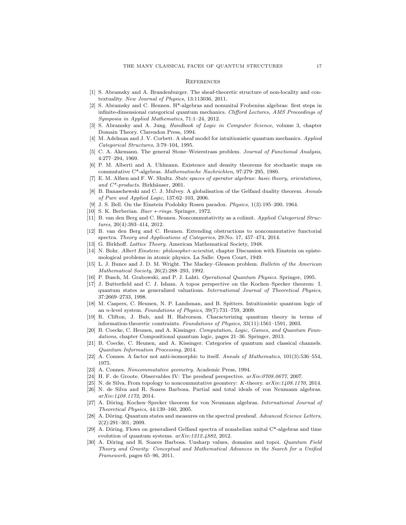#### **REFERENCES**

- [1] S. Abramsky and A. Brandenburger. The sheaf-theoretic structure of non-locality and contextuality. New Journal of Physics, 13:113036, 2011.
- [2] S. Abramsky and C. Heunen. H\*-algebras and nonunital Frobenius algebras: first steps in infinite-dimensional categorical quantum mechanics. Clifford Lectures, AMS Proceedings of Symposia in Applied Mathematics, 71:1–24, 2012.
- [3] S. Abramsky and A. Jung. Handbook of Logic in Computer Science, volume 3, chapter Domain Theory. Clarendon Press, 1994.
- [4] M. Adelman and J. V. Corbett. A sheaf model for intuitionistic quantum mechanics. Applied Categorical Structures, 3:79–104, 1995.
- [5] C. A. Akemann. The general Stone–Weierstrass problem. Journal of Functional Analysis, 4:277–294, 1969.
- [6] P. M. Alberti and A. Uhlmann. Existence and density theorems for stochastic maps on commutative C\*-algebras. Mathematische Nachrichten, 97:279–295, 1980.
- [7] E. M. Alfsen and F. W. Shultz. State spaces of operator algebras: basic theory, orientations, and  $C^*$ -products. Birkhäuser, 2001.
- [8] B. Banaschewski and C. J. Mulvey. A globalisation of the Gelfand duality theorem. Annals of Pure and Applied Logic, 137:62–103, 2006.
- [9] J. S. Bell. On the Einstein Podolsky Rosen paradox. Physics, 1(3):195–200, 1964.
- [10] S. K. Berberian. Baer \*-rings. Springer, 1972.
- [11] B. van den Berg and C. Heunen. Noncommutativity as a colimit. Applied Categorical Structures, 20(4):393–414, 2012.
- [12] B. van den Berg and C. Heunen. Extending obstructions to noncommutative functorial spectra. Theory and Applications of Categories, 29:No. 17, 457–474, 2014.
- [13] G. Birkhoff. Lattice Theory. American Mathematical Society, 1948.
- [14] N. Bohr. Albert Einstein: philosopher-scientist, chapter Discussion with Einstein on epistemological problems in atomic physics. La Salle: Open Court, 1949.
- [15] L. J. Bunce and J. D. M. Wright. The Mackey–Gleason problem. Bulletin of the American Mathematical Society, 26(2):288–293, 1992.
- [16] P. Busch, M. Grabowski, and P. J. Lahti. Operational Quantum Physics. Springer, 1995.
- [17] J. Butterfield and C. J. Isham. A topos perspective on the Kochen–Specker theorem: I. quantum states as generalized valuations. International Journal of Theoretical Physics, 37:2669–2733, 1998.
- [18] M. Caspers, C. Heunen, N. P. Landsman, and B. Spitters. Intuitionistic quantum logic of an n-level system. Foundations of Physics, 39(7):731–759, 2009.
- [19] R. Clifton, J. Bub, and H. Halvorson. Characterizing quantum theory in terms of information-theoretic constraints. Foundations of Physics, 33(11):1561–1591, 2003.
- [20] B. Coecke, C. Heunen, and A. Kissinger. Computation, Logic, Games, and Quantum Foundations, chapter Compositional quantum logic, pages 21–36. Springer, 2013.
- [21] B. Coecke, C. Heunen, and A. Kissinger. Categories of quantum and classical channels. Quantum Information Processing, 2014.
- [22] A. Connes. A factor not anti-isomorphic to itself. Annals of Mathematics, 101(3):536–554, 1975.
- [23] A. Connes. Noncommutative geometry. Academic Press, 1994.
- [24] H. F. de Groote. Observables IV: The presheaf perspective. arXiv:0708.0677, 2007.
- [25] N. de Silva. From topology to noncommutative geomtery: K-theory. arXiv:1408.1170, 2014.
- [26] N. de Silva and R. Soares Barbosa. Partial and total ideals of von Neumann algebras. arXiv:1408.1172, 2014.
- [27] A. Döring. Kochen–Specker theorem for von Neumann algebras. *International Journal of* Theoretical Physics, 44:139–160, 2005.
- [28] A. Döring. Quantum states and measures on the spectral presheaf. Advanced Science Letters, 2(2):291–301, 2009.
- [29] A. Döring. Flows on generalised Gelfand spectra of nonabelian unital  $C^*$ -algebras and time evolution of quantum systems. arXiv:1212.4882, 2012.
- [30] A. Döring and R. Soares Barbosa. Unsharp values, domains and topoi. Quantum Field Theory and Gravity: Conceptual and Mathematical Advances in the Search for a Unified Framework, pages 65–96, 2011.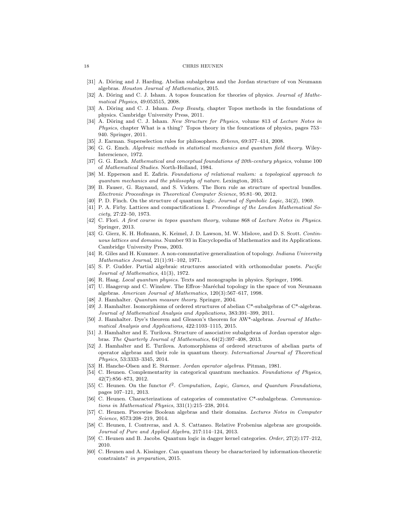- [31] A. Döring and J. Harding. Abelian subalgebras and the Jordan structure of von Neumann algebras. Houston Journal of Mathematics, 2015.
- [32] A. Döring and C. J. Isham. A topos founcation for theories of physics. Journal of Mathematical Physics, 49:053515, 2008.
- [33] A. Döring and C. J. Isham. Deep Beauty, chapter Topos methods in the foundations of physics. Cambridge University Press, 2011.
- [34] A. Döring and C. J. Isham. New Structure for Physics, volume 813 of Lecture Notes in Physics, chapter What is a thing? Topos theory in the founcations of physics, pages 753– 940. Springer, 2011.
- [35] J. Earman. Superselection rules for philosophers. Erkenn, 69:377–414, 2008.
- [36] G. G. Emch. Algebraic methods in statistical mechanics and quantum field theory. Wiley-Interscience, 1972.
- [37] G. G. Emch. Mathematical and conceptual foundations of 20th-century physics, volume 100 of Mathematical Studies. North-Holland, 1984.
- [38] M. Epperson and E. Zafiris. Foundations of relational realism: a topological approach to quantum mechanics and the philosophy of nature. Lexington, 2013.
- [39] B. Fauser, G. Raynaud, and S. Vickers. The Born rule as structure of spectral bundles. Electronic Proceedings in Theoretical Computer Science, 95:81–90, 2012.
- [40] P. D. Finch. On the structure of quantum logic. Journal of Symbolic Logic, 34(2), 1969.
- [41] P. A. Firby. Lattices and compactifications I. Proceedings of the London Mathematical Society, 27:22–50, 1973.
- [42] C. Flori. A first course in topos quantum theory, volume 868 of Lecture Notes in Physics. Springer, 2013.
- [43] G. Gierz, K. H. Hofmann, K. Keimel, J. D. Lawson, M. W. Mislove, and D. S. Scott. Continuous lattices and domains. Number 93 in Encyclopedia of Mathematics and its Applications. Cambridge University Press, 2003.
- [44] R. Giles and H. Kummer. A non-commutative generalization of topology. *Indiana University* Mathematics Journal, 21(1):91–102, 1971.
- [45] S. P. Gudder. Partial algebraic structures associated with orthomodular posets. Pacific Journal of Mathematics, 41(3), 1972.
- [46] R. Haag. Local quantum physics. Texts and monographs in physics. Springer, 1996.
- [47] U. Haagerup and C. Winsløw. The Effros–Maréchal topology in the space of von Neumann algebras. American Journal of Mathematics, 120(3):567–617, 1998.
- [48] J. Hamhalter. *Quantum measure theory*. Springer, 2004.
- [49] J. Hamhalter. Isomorphisms of ordered structures of abelian C\*-subalgebras of C\*-algebras. Journal of Mathematical Analysis and Applications, 383:391–399, 2011.
- [50] J. Hamhalter. Dye's theorem and Gleason's theorem for AW\*-algebras. Journal of Mathematical Analysis and Applications, 422:1103–1115, 2015.
- [51] J. Hamhalter and E. Turilova. Structure of associative subalgebras of Jordan operator algebras. The Quarterly Journal of Mathematics, 64(2):397–408, 2013.
- [52] J. Hamhalter and E. Turilova. Automorphisms of ordered structures of abelian parts of operator algebras and their role in quantum theory. International Journal of Theoretical Physics, 53:3333–3345, 2014.
- [53] H. Hanche-Olsen and E. Størmer. Jordan operator algebras. Pitman, 1981.
- [54] C. Heunen. Complementarity in categorical quantum mechanics. Foundations of Physics, 42(7):856–873, 2012.
- [55] C. Heunen. On the functor  $\ell^2$ . Computation, Logic, Games, and Quantum Foundations, pages 107–121, 2013.
- [56] C. Heunen. Characterizations of categories of commutative C\*-subalgebras. Communications in Mathematical Physics, 331(1):215–238, 2014.
- [57] C. Heunen. Piecewise Boolean algebras and their domains. Lectures Notes in Computer Science, 8573:208–219, 2014.
- [58] C. Heunen, I. Contreras, and A. S. Cattaneo. Relative Frobenius algebras are groupoids. Journal of Pure and Applied Algebra, 217:114–124, 2013.
- [59] C. Heunen and B. Jacobs. Quantum logic in dagger kernel categories. Order, 27(2):177–212, 2010.
- [60] C. Heunen and A. Kissinger. Can quantum theory be characterized by information-theoretic constraints? in preparation, 2015.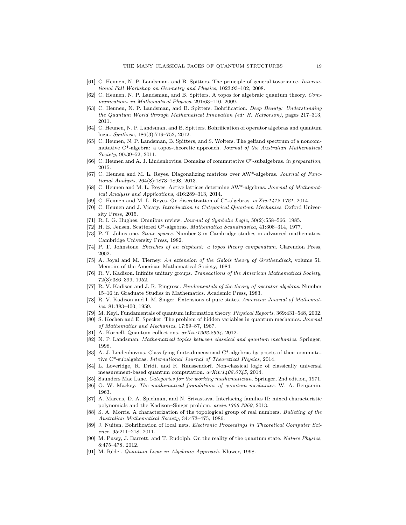- [61] C. Heunen, N. P. Landsman, and B. Spitters. The principle of general tovariance. International Fall Workshop on Geometry and Physics, 1023:93–102, 2008.
- [62] C. Heunen, N. P. Landsman, and B. Spitters. A topos for algebraic quantum theory. Communications in Mathematical Physics, 291:63–110, 2009.
- [63] C. Heunen, N. P. Landsman, and B. Spitters. Bohrification. Deep Beauty: Understanding the Quantum World through Mathematical Innovation (ed: H. Halvorson), pages 217–313, 2011.
- [64] C. Heunen, N. P. Landsman, and B. Spitters. Bohrification of operator algebras and quantum logic. Synthese, 186(3):719–752, 2012.
- [65] C. Heunen, N. P. Landsman, B. Spitters, and S. Wolters. The gelfand spectrum of a noncommutative C\*-algebra: a topos-theoretic approach. Journal of the Australian Mathematical Society, 90:39–52, 2011.
- [66] C. Heunen and A. J. Lindenhovius. Domains of commutative C\*-subalgebras. in preparation, 2015.
- [67] C. Heunen and M. L. Reyes. Diagonalizing matrices over AW\*-algebras. Journal of Functional Analysis, 264(8):1873–1898, 2013.
- [68] C. Heunen and M. L. Reyes. Active lattices determine AW\*-algebras. Journal of Mathematical Analysis and Applications, 416:289–313, 2014.
- [69] C. Heunen and M. L. Reyes. On discretization of C\*-algebras. arXiv:1412.1721, 2014.
- [70] C. Heunen and J. Vicary. Introduction to Categorical Quantum Mechanics. Oxford University Press, 2015.
- [71] R. I. G. Hughes. Omnibus review. Journal of Symbolic Logic, 50(2):558–566, 1985.
- [72] H. E. Jensen. Scattered C\*-algebras. Mathematica Scandinavica, 41:308–314, 1977.
- [73] P. T. Johnstone. Stone spaces. Number 3 in Cambridge studies in advanced mathematics. Cambridge University Press, 1982.
- [74] P. T. Johnstone. Sketches of an elephant: a topos theory compendium. Clarendon Press, 2002.
- [75] A. Joyal and M. Tierney. An extension of the Galois theory of Grothendieck, volume 51. Memoirs of the American Mathematical Society, 1984.
- [76] R. V. Kadison. Infinite unitary groups. Transactions of the American Mathematical Society, 72(3):386–399, 1952.
- [77] R. V. Kadison and J. R. Ringrose. Fundamentals of the theory of operator algebras. Number 15–16 in Graduate Studies in Mathematics. Academic Press, 1983.
- [78] R. V. Kadison and I. M. Singer. Extensions of pure states. American Journal of Mathematics, 81:383–400, 1959.
- [79] M. Keyl. Fundamentals of quantum information theory. Physical Reports, 369:431–548, 2002.
- [80] S. Kochen and E. Specker. The problem of hidden variables in quantum mechanics. Journal of Mathematics and Mechanics, 17:59–87, 1967.
- [81] A. Kornell. Quantum collections.  $arXiv:1202.2994$ , 2012.
- [82] N. P. Landsman. Mathematical topics between classical and quantum mechanics. Springer, 1998.
- [83] A. J. Lindenhovius. Classifying finite-dimensional C\*-algebras by posets of their commutative C\*-subalgebras. International Journal of Theoretical Physics, 2014.
- [84] L. Loveridge, R. Dridi, and R. Raussendorf. Non-classical logic of classically universal measurement-based quantum computation. arXiv:1408.0745, 2014.
- [85] Saunders Mac Lane. Categories for the working mathematician. Springer, 2nd edition, 1971.
- [86] G. W. Mackey. The mathematical foundations of quantum mechanics. W. A. Benjamin, 1963.
- [87] A. Marcus, D. A. Spielman, and N. Srivastava. Interlacing families II: mixed characteristic polynomials and the Kadison–Singer problem. arxiv:1306.3969, 2013.
- [88] S. A. Morris. A characterization of the topological group of real numbers. Bulleting of the Australian Mathematical Society, 34:473–475, 1986.
- [89] J. Nuiten. Bohrification of local nets. Electronic Proceedings in Theoretical Computer Science, 95:211–218, 2011.
- [90] M. Pusey, J. Barrett, and T. Rudolph. On the reality of the quantum state. Nature Physics, 8:475–478, 2012.
- [91] M. Rédei. Quantum Logic in Algebraic Approach. Kluwer, 1998.